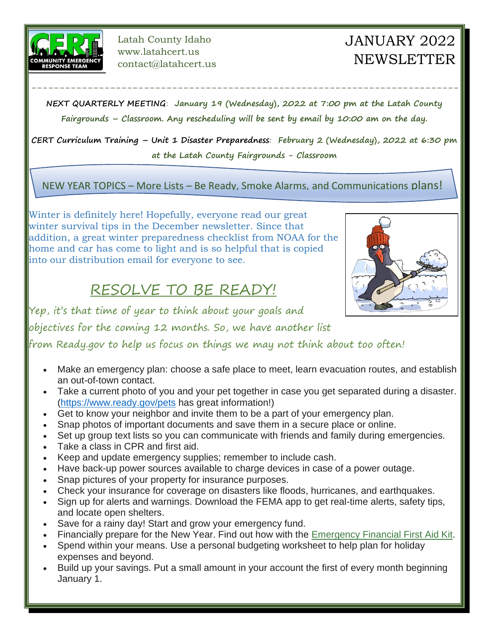

Latah County Idaho www.latahcert.us contact@latahcert.us

# JANUARY 2022 NEWSLETTER

**NEXT QUARTERLY MEETING**: **January 19 (Wednesday), 2022 at 7:00 pm at the Latah County Fairgrounds – Classroom. Any rescheduling will be sent by email by 10:00 am on the day.** 

----------------------------------------------------------------------------

**CERT Curriculum Training – Unit 1 Disaster Preparedness**: **February 2 (Wednesday), 2022 at 6:30 pm at the Latah County Fairgrounds - Classroom**

NEW YEAR TOPICS – More Lists – Be Ready, Smoke Alarms, and Communications plans!

Winter is definitely here! Hopefully, everyone read our great winter survival tips in the December newsletter. Since that addition, a great winter preparedness checklist from NOAA for the home and car has come to light and is so helpful that is copied into our distribution email for everyone to see.

## RESOLVE TO BE READY!

Yep, it's that time of year to think about your goals and

objectives for the coming 12 months. So, we have another list

from Ready.gov to help us focus on things we may not think about too often!

- Make an emergency plan: choose a safe place to meet, learn evacuation routes, and establish an out-of-town contact.
- Take a current photo of you and your pet together in case you get separated during a disaster. [\(https://www.ready.gov/pets](https://www.ready.gov/pets) has great information!)
- Get to know your neighbor and invite them to be a part of your emergency plan.
- Snap photos of important documents and save them in a secure place or online.
- Set up group text lists so you can communicate with friends and family during emergencies.
- Take a class in CPR and first aid.
- Keep and update emergency supplies; remember to include cash.
- Have back-up power sources available to charge devices in case of a power outage.
- Snap pictures of your property for insurance purposes.
- Check your insurance for coverage on disasters like floods, hurricanes, and earthquakes.
- Sign up for alerts and warnings. Download the FEMA app to get real-time alerts, safety tips, and locate open shelters.
- Save for a rainy day! Start and grow your emergency fund.
- Financially prepare for the New Year. Find out how with the [Emergency Financial First Aid Kit.](https://www.ready.gov/financial-preparedness)
- Spend within your means. Use a personal budgeting worksheet to help plan for holiday expenses and beyond.
- Build up your savings. Put a small amount in your account the first of every month beginning January 1.